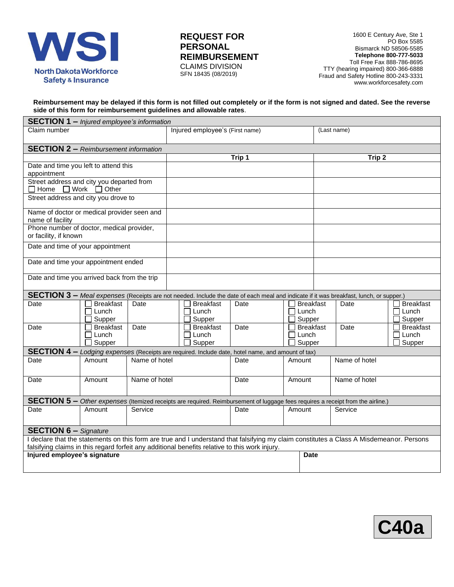

## **REQUEST FOR PERSONAL REIMBURSEMENT** CLAIMS DIVISION SFN 18435 (08/2019)

1600 E Century Ave, Ste 1 PO Box 5585 Bismarck ND 58506-5585 **Telephone 800-777-5033** Toll Free Fax 888-786-8695 TTY (hearing impaired) 800-366-6888 Fraud and Safety Hotline 800-243-3331 [www.workforcesafety.com](http://www.workforcesafety.com/)

#### **Reimbursement may be delayed if this form is not filled out completely or if the form is not signed and dated. See the reverse side of this form for reimbursement guidelines and allowable rates**.

| <b>SECTION 1 - Injured employee's information</b>                                                                                        |                                     |               |                                                                                                   |             |                                     |                                                                                                                                 |                                          |  |  |
|------------------------------------------------------------------------------------------------------------------------------------------|-------------------------------------|---------------|---------------------------------------------------------------------------------------------------|-------------|-------------------------------------|---------------------------------------------------------------------------------------------------------------------------------|------------------------------------------|--|--|
| Claim number                                                                                                                             |                                     |               | Injured employee's (First name)                                                                   |             |                                     | (Last name)                                                                                                                     |                                          |  |  |
| <b>SECTION 2 - Reimbursement information</b>                                                                                             |                                     |               |                                                                                                   |             |                                     |                                                                                                                                 |                                          |  |  |
|                                                                                                                                          |                                     |               | Trip 1                                                                                            |             |                                     | Trip 2                                                                                                                          |                                          |  |  |
| Date and time you left to attend this                                                                                                    |                                     |               |                                                                                                   |             |                                     |                                                                                                                                 |                                          |  |  |
| appointment                                                                                                                              |                                     |               |                                                                                                   |             |                                     |                                                                                                                                 |                                          |  |  |
| Street address and city you departed from<br>$\Box$ Home $\Box$ Work $\Box$ Other                                                        |                                     |               |                                                                                                   |             |                                     |                                                                                                                                 |                                          |  |  |
| Street address and city you drove to                                                                                                     |                                     |               |                                                                                                   |             |                                     |                                                                                                                                 |                                          |  |  |
| Name of doctor or medical provider seen and<br>name of facility                                                                          |                                     |               |                                                                                                   |             |                                     |                                                                                                                                 |                                          |  |  |
| Phone number of doctor, medical provider,<br>or facility, if known                                                                       |                                     |               |                                                                                                   |             |                                     |                                                                                                                                 |                                          |  |  |
| Date and time of your appointment                                                                                                        |                                     |               |                                                                                                   |             |                                     |                                                                                                                                 |                                          |  |  |
| Date and time your appointment ended                                                                                                     |                                     |               |                                                                                                   |             |                                     |                                                                                                                                 |                                          |  |  |
| Date and time you arrived back from the trip                                                                                             |                                     |               |                                                                                                   |             |                                     |                                                                                                                                 |                                          |  |  |
| SECTION 3 - Meal expenses (Receipts are not needed. Include the date of each meal and indicate if it was breakfast, lunch, or supper.)   |                                     |               |                                                                                                   |             |                                     |                                                                                                                                 |                                          |  |  |
| Date                                                                                                                                     | <b>Breakfast</b><br>Lunch<br>Supper | Date          | <b>Breakfast</b><br>$\Box$ Lunch<br>Supper                                                        | Date        | <b>Breakfast</b><br>Lunch<br>Supper | Date                                                                                                                            | <b>Breakfast</b><br>П<br>Lunch<br>Supper |  |  |
| Date                                                                                                                                     | <b>Breakfast</b><br>$\Box$ Lunch    | Date          | <b>Breakfast</b><br>$\Box$ Lunch                                                                  | Date        | <b>Breakfast</b><br>Lunch           | Date                                                                                                                            | <b>Breakfast</b><br>Lunch                |  |  |
|                                                                                                                                          | Supper                              |               | Supper                                                                                            |             | Supper                              |                                                                                                                                 | Supper                                   |  |  |
|                                                                                                                                          |                                     |               | SECTION 4 - Lodging expenses (Receipts are required. Include date, hotel name, and amount of tax) |             |                                     |                                                                                                                                 |                                          |  |  |
| Date                                                                                                                                     | Amount                              | Name of hotel |                                                                                                   | Date        | Amount                              | Name of hotel                                                                                                                   |                                          |  |  |
| Date                                                                                                                                     | Amount                              | Name of hotel |                                                                                                   | Date        | Amount                              | Name of hotel                                                                                                                   |                                          |  |  |
|                                                                                                                                          |                                     |               |                                                                                                   |             |                                     | SECTION 5 - Other expenses (Itemized receipts are required. Reimbursement of luggage fees requires a receipt from the airline.) |                                          |  |  |
| Date                                                                                                                                     | Amount                              | Service       |                                                                                                   | Date        | Amount                              | Service                                                                                                                         |                                          |  |  |
|                                                                                                                                          |                                     |               |                                                                                                   |             |                                     |                                                                                                                                 |                                          |  |  |
| <b>SECTION 6 - Signature</b>                                                                                                             |                                     |               |                                                                                                   |             |                                     |                                                                                                                                 |                                          |  |  |
| I declare that the statements on this form are true and I understand that falsifying my claim constitutes a Class A Misdemeanor. Persons |                                     |               |                                                                                                   |             |                                     |                                                                                                                                 |                                          |  |  |
| falsifying claims in this regard forfeit any additional benefits relative to this work injury.                                           |                                     |               |                                                                                                   |             |                                     |                                                                                                                                 |                                          |  |  |
| Injured employee's signature                                                                                                             |                                     |               |                                                                                                   | <b>Date</b> |                                     |                                                                                                                                 |                                          |  |  |
|                                                                                                                                          |                                     |               |                                                                                                   |             |                                     |                                                                                                                                 |                                          |  |  |